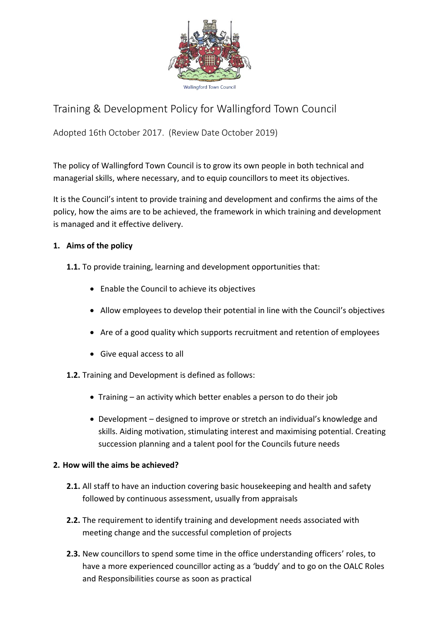

# Training & Development Policy for Wallingford Town Council

Adopted 16th October 2017. (Review Date October 2019)

The policy of Wallingford Town Council is to grow its own people in both technical and managerial skills, where necessary, and to equip councillors to meet its objectives.

It is the Council's intent to provide training and development and confirms the aims of the policy, how the aims are to be achieved, the framework in which training and development is managed and it effective delivery.

## **1. Aims of the policy**

- **1.1.** To provide training, learning and development opportunities that:
	- Enable the Council to achieve its objectives
	- Allow employees to develop their potential in line with the Council's objectives
	- Are of a good quality which supports recruitment and retention of employees
	- Give equal access to all

**1.2.** Training and Development is defined as follows:

- Training an activity which better enables a person to do their job
- Development designed to improve or stretch an individual's knowledge and skills. Aiding motivation, stimulating interest and maximising potential. Creating succession planning and a talent pool for the Councils future needs

### **2. How will the aims be achieved?**

- **2.1.** All staff to have an induction covering basic housekeeping and health and safety followed by continuous assessment, usually from appraisals
- **2.2.** The requirement to identify training and development needs associated with meeting change and the successful completion of projects
- **2.3.** New councillors to spend some time in the office understanding officers' roles, to have a more experienced councillor acting as a 'buddy' and to go on the OALC Roles and Responsibilities course as soon as practical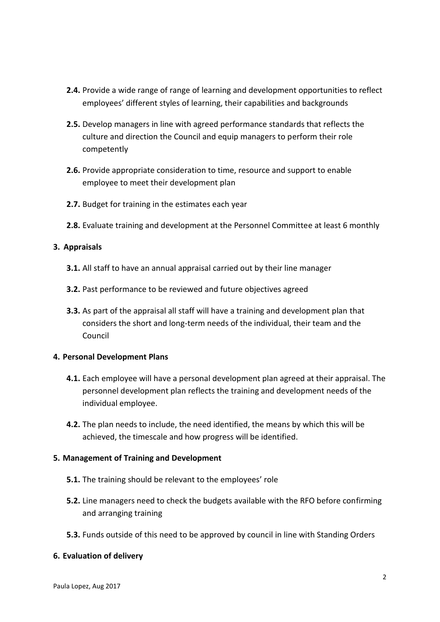- **2.4.** Provide a wide range of range of learning and development opportunities to reflect employees' different styles of learning, their capabilities and backgrounds
- **2.5.** Develop managers in line with agreed performance standards that reflects the culture and direction the Council and equip managers to perform their role competently
- **2.6.** Provide appropriate consideration to time, resource and support to enable employee to meet their development plan
- **2.7.** Budget for training in the estimates each year
- **2.8.** Evaluate training and development at the Personnel Committee at least 6 monthly

#### **3. Appraisals**

- **3.1.** All staff to have an annual appraisal carried out by their line manager
- **3.2.** Past performance to be reviewed and future objectives agreed
- **3.3.** As part of the appraisal all staff will have a training and development plan that considers the short and long-term needs of the individual, their team and the Council

#### **4. Personal Development Plans**

- **4.1.** Each employee will have a personal development plan agreed at their appraisal. The personnel development plan reflects the training and development needs of the individual employee.
- **4.2.** The plan needs to include, the need identified, the means by which this will be achieved, the timescale and how progress will be identified.

#### **5. Management of Training and Development**

- **5.1.** The training should be relevant to the employees' role
- **5.2.** Line managers need to check the budgets available with the RFO before confirming and arranging training
- **5.3.** Funds outside of this need to be approved by council in line with Standing Orders

#### **6. Evaluation of delivery**